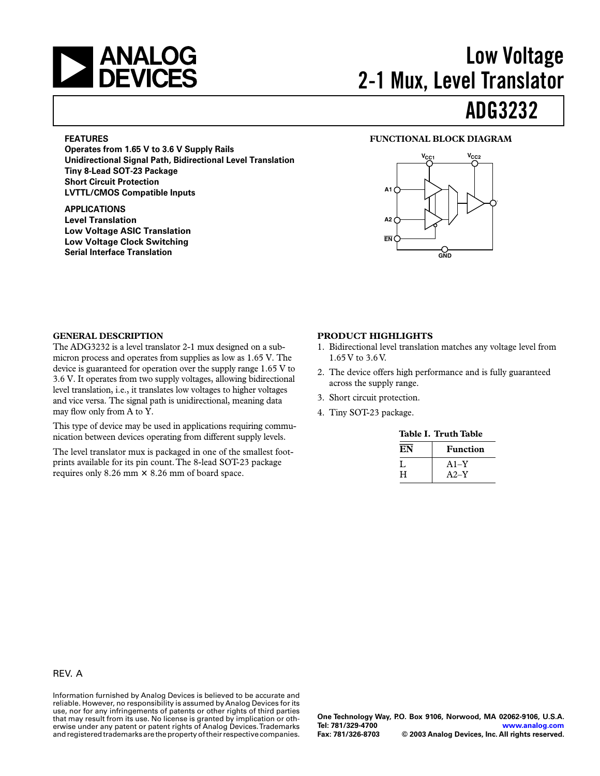

# **ADG3232 Low Voltage 2-1 Mux, Level Translator**

#### **FEATURES**

**Operates from 1.65 V to 3.6 V Supply Rails Unidirectional Signal Path, Bidirectional Level Translation Tiny 8-Lead SOT-23 Package Short Circuit Protection LVTTL/CMOS Compatible Inputs**

### **APPLICATIONS**

**Level Translation Low Voltage ASIC Translation Low Voltage Clock Switching Serial Interface Translation**

#### **FUNCTIONAL BLOCK DIAGRAM**



#### **GENERAL DESCRIPTION**

The ADG3232 is a level translator 2-1 mux designed on a submicron process and operates from supplies as low as 1.65 V. The device is guaranteed for operation over the supply range 1.65 V to 3.6 V. It operates from two supply voltages, allowing bidirectional level translation, i.e., it translates low voltages to higher voltages and vice versa. The signal path is unidirectional, meaning data may flow only from A to Y.

This type of device may be used in applications requiring communication between devices operating from different supply levels.

The level translator mux is packaged in one of the smallest footprints available for its pin count. The 8-lead SOT-23 package requires only 8.26 mm  $\times$  8.26 mm of board space.

#### **PRODUCT HIGHLIGHTS**

- 1. Bidirectional level translation matches any voltage level from 1.65 V to 3.6 V.
- 2. The device offers high performance and is fully guaranteed across the supply range.
- 3. Short circuit protection.
- 4. Tiny SOT-23 package.

| Table I. Truth Table |                 |  |
|----------------------|-----------------|--|
| EN                   | <b>Function</b> |  |
| Ι.                   | $A1-Y$          |  |
| н                    | $A2-Y$          |  |

### REV. A

Information furnished by Analog Devices is believed to be accurate and reliable. However, no responsibility is assumed by Analog Devices for its use, nor for any infringements of patents or other rights of third parties that may result from its use. No license is granted by implication or otherwise under any patent or patent rights of Analog Devices. Trademarks and registered trademarks are the property of their respective companies.

**One Technology Way, P.O. Box 9106, Norwood, MA 02062-9106, U.S.A. Tel: 781/329-4700 [www.analog.com](http://www.analog.com)**  $©$  2003 Analog Devices, Inc. All rights reserved.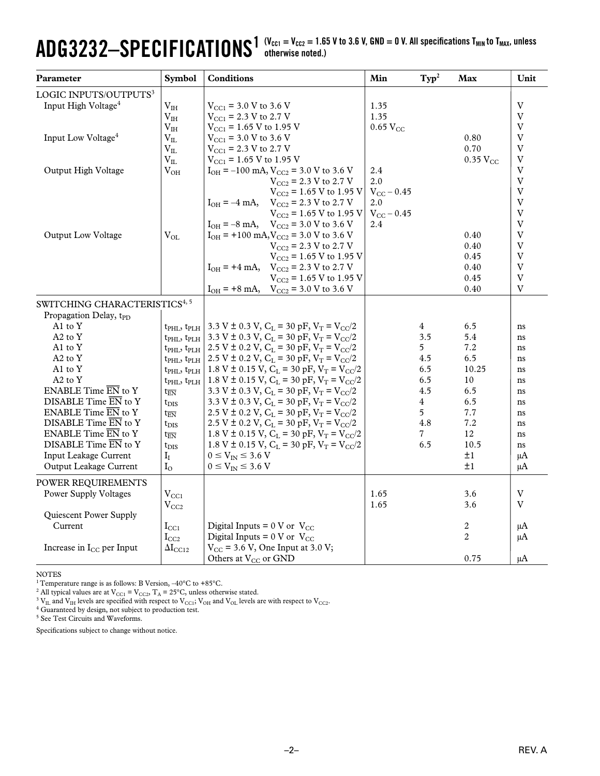### $\mathbf{ADG3232}\text{--}\mathbf{SPECIFICATIONS}^{\text{1 (V_{CC1} = V_{CC2} = 1.65 V to 3.6 V, GND = 0 V. All specifications T<sub>MIN</sub> to T<sub>MAX</sub>, unless}$ **otherwise noted.)**

| Parameter                                          | <b>Symbol</b>                           | <b>Conditions</b>                                                              | Min                 | $\mathbf{Typ}^2$ | Max             | Unit           |
|----------------------------------------------------|-----------------------------------------|--------------------------------------------------------------------------------|---------------------|------------------|-----------------|----------------|
| LOGIC INPUTS/OUTPUTS <sup>3</sup>                  |                                         |                                                                                |                     |                  |                 |                |
| Input High Voltage <sup>4</sup><br>V <sub>IH</sub> |                                         | $V_{\text{CC1}}$ = 3.0 V to 3.6 V                                              | 1.35                |                  |                 | V              |
|                                                    | V <sub>IH</sub>                         | $V_{\text{CC1}}$ = 2.3 V to 2.7 V                                              | 1.35                |                  |                 | V              |
|                                                    | $\rm V_{IH}$                            | $V_{\text{CC1}}$ = 1.65 V to 1.95 V                                            | $0.65$ $V_{CC}$     |                  |                 | $\overline{V}$ |
| Input Low Voltage <sup>4</sup>                     | $V_{IL}$                                | $V_{\text{CC1}}$ = 3.0 V to 3.6 V                                              |                     |                  | 0.80            | V              |
|                                                    | $V_{IL}$                                | $V_{\text{CC1}}$ = 2.3 V to 2.7 V                                              |                     |                  | 0.70            | V              |
|                                                    | $V_{IL}$                                | $V_{\text{CC1}}$ = 1.65 V to 1.95 V                                            |                     |                  | $0.35$ $V_{CC}$ | $\overline{V}$ |
| Output High Voltage                                | $V_{OH}$                                | $I_{OH} = -100$ mA, $V_{CC2} = 3.0$ V to 3.6 V                                 | 2.4                 |                  |                 | V              |
|                                                    |                                         | $V_{CC2}$ = 2.3 V to 2.7 V                                                     | 2.0                 |                  |                 | $\overline{V}$ |
|                                                    |                                         | $V_{CC2}$ = 1.65 V to 1.95 V                                                   | $V_{CC}$ – 0.45     |                  |                 | $\overline{V}$ |
|                                                    |                                         | $I_{OH} = -4$ mA,<br>$V_{CC2}$ = 2.3 V to 2.7 V                                | 2.0                 |                  |                 | $\mathbf V$    |
|                                                    |                                         | $V_{CC2}$ = 1.65 V to 1.95 V                                                   | $V_{\rm CC}$ – 0.45 |                  |                 | V              |
|                                                    |                                         | $V_{CC2}$ = 3.0 V to 3.6 V<br>$I_{OH} = -8$ mA,                                | 2.4                 |                  |                 | $\mathbf V$    |
| Output Low Voltage                                 | $V_{OL}$                                | $I_{OH}$ = +100 mA, $V_{CC2}$ = 3.0 V to 3.6 V                                 |                     |                  | 0.40            | V              |
|                                                    |                                         | $V_{CC2}$ = 2.3 V to 2.7 V                                                     |                     |                  | 0.40            | $\mathbf V$    |
|                                                    |                                         | $V_{CC2}$ = 1.65 V to 1.95 V                                                   |                     |                  | 0.45            | V              |
|                                                    |                                         | $I_{OH}$ = +4 mA, $V_{CC2}$ = 2.3 V to 2.7 V                                   |                     |                  | 0.40            | $\overline{V}$ |
|                                                    |                                         | $V_{CC2}$ = 1.65 V to 1.95 V                                                   |                     |                  | 0.45            | V              |
|                                                    |                                         | $I_{OH}$ = +8 mA, $V_{CC2}$ = 3.0 V to 3.6 V                                   |                     |                  | 0.40            | V              |
| SWITCHING CHARACTERISTICS <sup>4, 5</sup>          |                                         |                                                                                |                     |                  |                 |                |
| Propagation Delay, t <sub>PD</sub>                 |                                         |                                                                                |                     |                  |                 |                |
| A1 to Y                                            | $t$ PHL, $t$ PLH                        | 3.3 V $\pm$ 0.3 V, C <sub>L</sub> = 30 pF, V <sub>T</sub> = V <sub>CC</sub> /2 |                     | 4                | 6.5             | ns             |
| $A2$ to $Y$                                        | $t_{\text{PHL}}$ , $t_{\text{PLH}}$     | 3.3 V ± 0.3 V, C <sub>L</sub> = 30 pF, V <sub>T</sub> = V <sub>CC</sub> /2     |                     | 3.5              | 5.4             | ns             |
| A1 to Y                                            | $t$ <sub>PHL</sub> , $t$ <sub>PLH</sub> | 2.5 V $\pm$ 0.2 V, C <sub>L</sub> = 30 pF, V <sub>T</sub> = V <sub>CC</sub> /2 |                     | 5 <sup>5</sup>   | 7.2             | ns             |
| A2 to Y                                            | $t$ PHL, $t$ PLH                        | 2.5 V ± 0.2 V, $C_L$ = 30 pF, $V_T = V_{CC}/2$                                 |                     | 4.5              | 6.5             | ns             |
| A1 to Y                                            | $t_{\text{PHI}}$ , $t_{\text{PLH}}$     | 1.8 V ± 0.15 V, $C_L$ = 30 pF, $V_T = V_{CC}/2$                                |                     | 6.5              | 10.25           | ns             |
| A2 to Y                                            | $t$ PHL, $t$ PLH                        | 1.8 V ± 0.15 V, $C_L$ = 30 pF, $V_T = V_{CC}/2$                                |                     | 6.5              | 10              | ns             |
| ENABLE Time $\overline{EN}$ to Y                   | $t_{\overline{EN}}$                     | 3.3 V $\pm$ 0.3 V, C <sub>L</sub> = 30 pF, V <sub>T</sub> = V <sub>CC</sub> /2 |                     | 4.5              | 6.5             | ns             |
| DISABLE Time EN to Y                               | $t_{\rm DIS}$                           | 3.3 V $\pm$ 0.3 V, C <sub>L</sub> = 30 pF, V <sub>T</sub> = V <sub>CC</sub> /2 |                     | 4                | 6.5             | ns             |
| ENABLE Time $\overline{EN}$ to Y                   | $t_{\overline{EN}}$                     | 2.5 V ± 0.2 V, $C_L$ = 30 pF, $V_T = V_{CC}/2$                                 |                     | 5                | 7.7             | ns             |
| DISABLE Time EN to Y                               | $t_{\rm DIS}$                           | 2.5 V ± 0.2 V, $C_L$ = 30 pF, $V_T = V_{CC}/2$                                 |                     | 4.8              | 7.2             | ns             |
| ENABLE Time EN to Y                                | $t_{\overline{\mathrm{FN}}}$            | 1.8 V ± 0.15 V, C <sub>L</sub> = 30 pF, V <sub>T</sub> = V <sub>CC</sub> /2    |                     | $\overline{7}$   | 12              | ns             |
| DISABLE Time EN to Y                               | $t_{\rm DIS}$                           | 1.8 V ± 0.15 V, $C_L$ = 30 pF, $V_T = V_{CC}/2$                                |                     | 6.5              | 10.5            | ns             |
| Input Leakage Current                              | $I_I$                                   | $0 \leq V_{IN} \leq 3.6$ V                                                     |                     |                  | ±1              | μA             |
| Output Leakage Current                             | $I_{\Omega}$                            | $0 \le V_{\text{IN}} \le 3.6$ V                                                |                     |                  | ±1              | $\mu A$        |
| POWER REQUIREMENTS                                 |                                         |                                                                                |                     |                  |                 |                |
| Power Supply Voltages                              | $V_{CC1}$                               |                                                                                | 1.65                |                  | 3.6             | V              |
|                                                    |                                         |                                                                                | 1.65                |                  | 3.6             | V              |
| Quiescent Power Supply                             | $\rm V_{CC2}$                           |                                                                                |                     |                  |                 |                |
| Current                                            |                                         | Digital Inputs = $0 \text{ V or } V_{\text{CC}}$                               |                     |                  | 2               |                |
|                                                    | $\rm I_{CC1}$                           | Digital Inputs = $0 \text{ V or } V_{\text{CC}}$                               |                     |                  | 2               | μA<br>μA       |
| Increase in I <sub>CC</sub> per Input              | $I_{CC2}$<br>$\Delta I_{\rm CC12}$      | $V_{CC}$ = 3.6 V, One Input at 3.0 V;                                          |                     |                  |                 |                |
|                                                    |                                         | Others at V <sub>CC</sub> or GND                                               |                     |                  | 0.75            |                |
|                                                    |                                         |                                                                                |                     |                  |                 | μA             |

NOTES

<sup>1</sup> Temperature range is as follows: B Version,  $-40^{\circ}$ C to  $+85^{\circ}$ C.

<sup>2</sup> All typical values are at V<sub>CC1</sub> = V<sub>CC2</sub>, T<sub>A</sub> = 25°C, unless otherwise stated.<br><sup>3</sup> V<sub>IL</sub> and V<sub>IH</sub> levels are specified with respect to V<sub>CC1</sub>; V<sub>OH</sub> and V<sub>OL</sub> levels are with respect to V<sub>CC2</sub>.<br><sup>4</sup> Guaranteed by de

5 See Test Circuits and Waveforms.

Specifications subject to change without notice.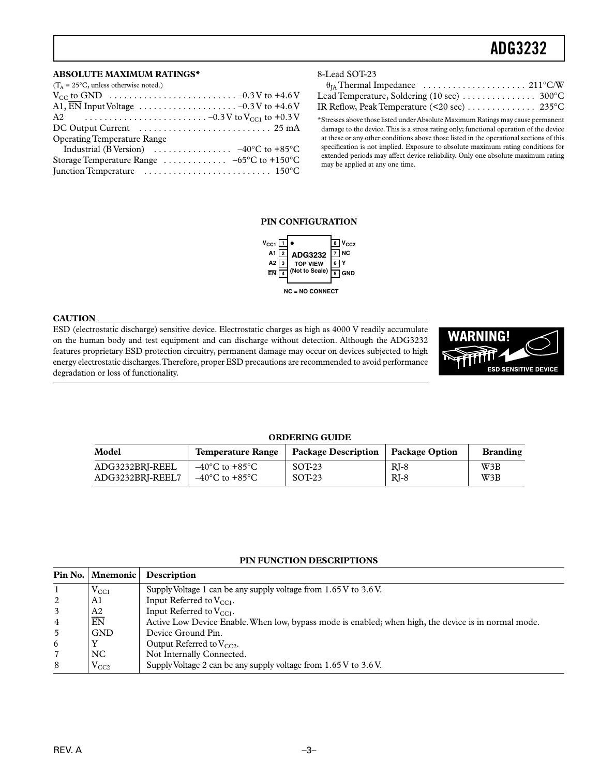# **ADG3232–SPECIFICATIONS1 ADG3232**

#### **ABSOLUTE MAXIMUM RATINGS\***

| $(T_A = 25^{\circ}C$ , unless otherwise noted.)                                  |
|----------------------------------------------------------------------------------|
|                                                                                  |
| A1, EN Input Voltage $\ldots \ldots \ldots \ldots \ldots \ldots -0.3V$ to +4.6 V |
|                                                                                  |
|                                                                                  |
| <b>Operating Temperature Range</b>                                               |
| Industrial (B Version) $\ldots \ldots \ldots \ldots -40^{\circ}C$ to +85°C       |
| Storage Temperature Range $\ldots \ldots \ldots \ldots -65$ °C to +150°C         |
|                                                                                  |

#### 8-Lead SOT-23

| IR Reflow, Peak Temperature (<20 sec) $\dots \dots \dots \dots$ 235°C |  |
|-----------------------------------------------------------------------|--|

\*Stresses above those listed under Absolute Maximum Ratings may cause permanent damage to the device. This is a stress rating only; functional operation of the device at these or any other conditions above those listed in the operational sections of this specification is not implied. Exposure to absolute maximum rating conditions for extended periods may affect device reliability. Only one absolute maximum rating may be applied at any one time.

#### **PIN CONFIGURATION**



#### **CAUTION**

ESD (electrostatic discharge) sensitive device. Electrostatic charges as high as 4000 V readily accumulate on the human body and test equipment and can discharge without detection. Although the ADG3232 features proprietary ESD protection circuitry, permanent damage may occur on devices subjected to high energy electrostatic discharges. Therefore, proper ESD precautions are recommended to avoid performance degradation or loss of functionality.



#### **ORDERING GUIDE**

| Model            | Temperature Range                  | <b>Package Description</b> | Package Option | <b>Branding</b> |
|------------------|------------------------------------|----------------------------|----------------|-----------------|
| ADG3232BRI-REEL  | $-40^{\circ}$ C to $+85^{\circ}$ C | $SOT-23$                   | $RI-8$         | W3B             |
| ADG3232BRI-REEL7 | $-40^{\circ}$ C to $+85^{\circ}$ C | $SOT-23$                   | $RI-8$         | W3B             |

#### **PIN FUNCTION DESCRIPTIONS**

|   | Pin No.   Mnemonic | <b>Description</b>                                                                                   |
|---|--------------------|------------------------------------------------------------------------------------------------------|
|   | $V_{\rm CCl}$      | Supply Voltage 1 can be any supply voltage from $1.65V$ to $3.6V$ .                                  |
| 2 | A1                 | Input Referred to $V_{CC1}$ .                                                                        |
| 3 | A2                 | Input Referred to $V_{\rm CCl}$ .                                                                    |
| 4 | $\overline{EN}$    | Active Low Device Enable. When low, bypass mode is enabled; when high, the device is in normal mode. |
| 5 | <b>GND</b>         | Device Ground Pin.                                                                                   |
| 6 |                    | Output Referred to $V_{CC2}$ .                                                                       |
|   | NC.                | Not Internally Connected.                                                                            |
| 8 | $V_{CC2}$          | Supply Voltage 2 can be any supply voltage from 1.65 V to 3.6 V.                                     |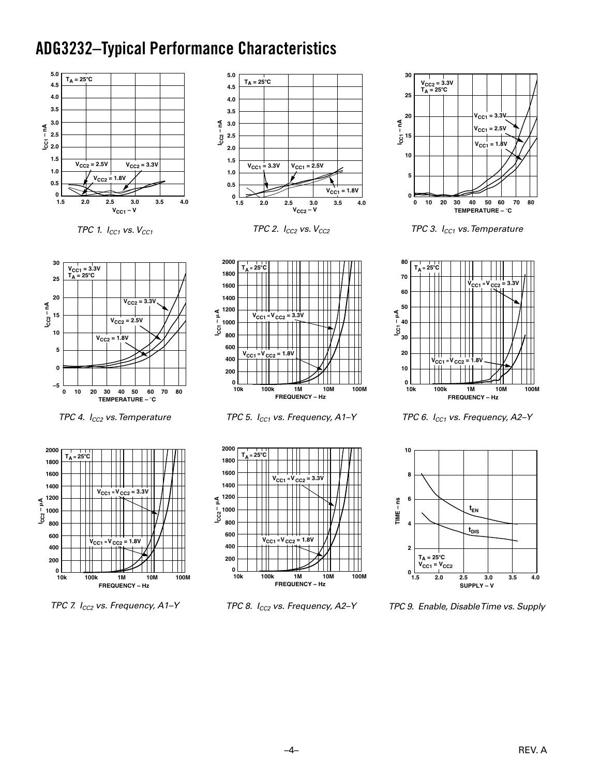## **ADG3232-Typical Performance Characteristics**



TPC 1.  $I_{CC1}$  vs.  $V_{CC1}$ 



TPC 2.  $I_{CC2}$  vs.  $V_{CC2}$ 



TPC 4. I<sub>CC2</sub> vs. Temperature



TPC 7. I<sub>CC2</sub> vs. Frequency, A1-Y



TPC 5. I<sub>CC1</sub> vs. Frequency, A1-Y



TPC 8. I<sub>CC2</sub> vs. Frequency, A2-Y



TPC 3.  $I_{CC1}$  vs. Temperature



TPC 6. I<sub>CC1</sub> vs. Frequency, A2-Y



TPC 9. Enable, Disable Time vs. Supply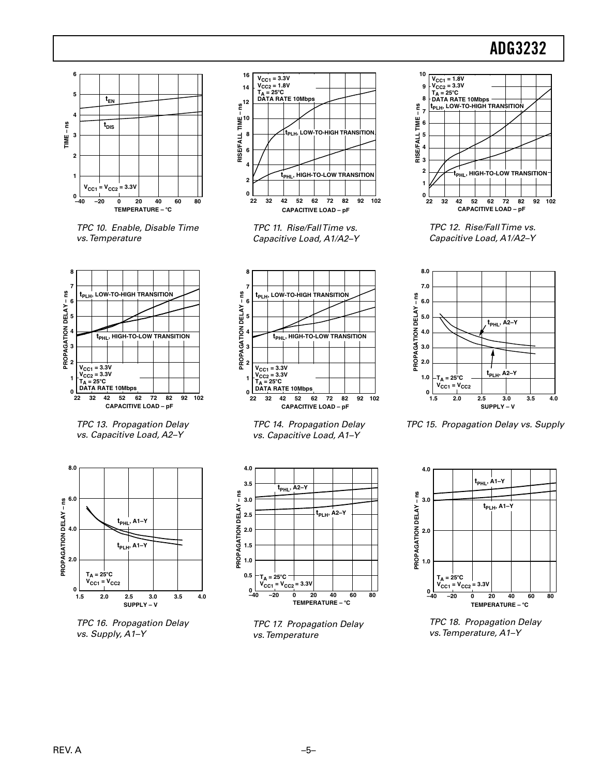## **ADG3232**



TPC 10. Enable, Disable Time vs. Temperature



TPC 13. Propagation Delay vs. Capacitive Load, A2-Y



TPC 16. Propagation Delay vs. Supply, A1-Y



TPC 11. Rise/FallTime vs. Capacitive Load, A1/A2-Y



TPC 14. Propagation Delay vs. Capacitive Load, A1-Y



TPC 17. Propagation Delay vs. Temperature



TPC 12. Rise/FallTime vs. Capacitive Load, A1/A2-Y



TPC 15. Propagation Delay vs. Supply



TPC 18. Propagation Delay vs. Temperature, A1-Y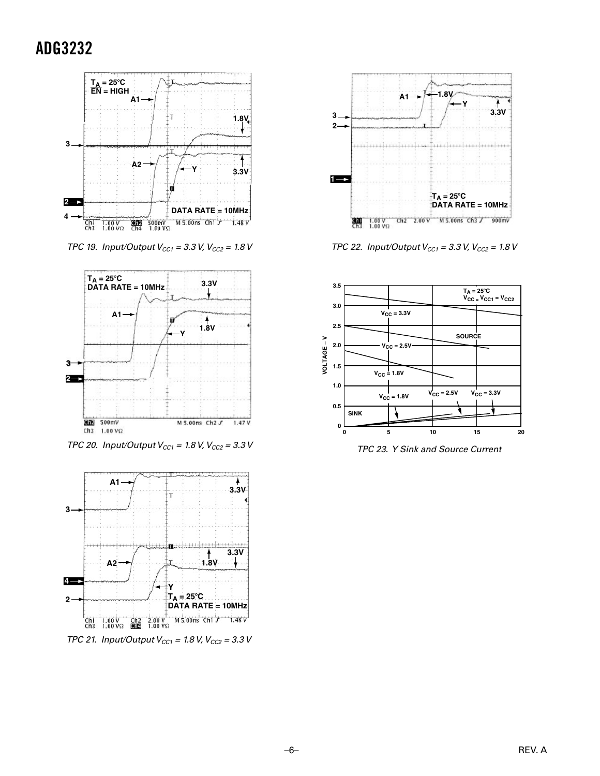## **ADG3232**



TPC 19. Input/Output  $V_{CC1} = 3.3$  V,  $V_{CC2} = 1.8$  V



TPC 20. Input/Output  $V_{CC1} = 1.8$  V,  $V_{CC2} = 3.3$  V



TPC 21. Input/Output  $V_{CC1} = 1.8$  V,  $V_{CC2} = 3.3$  V



TPC 22. Input/Output  $V_{CC1} = 3.3$  V,  $V_{CC2} = 1.8$  V



TPC 23. Y Sink and Source Current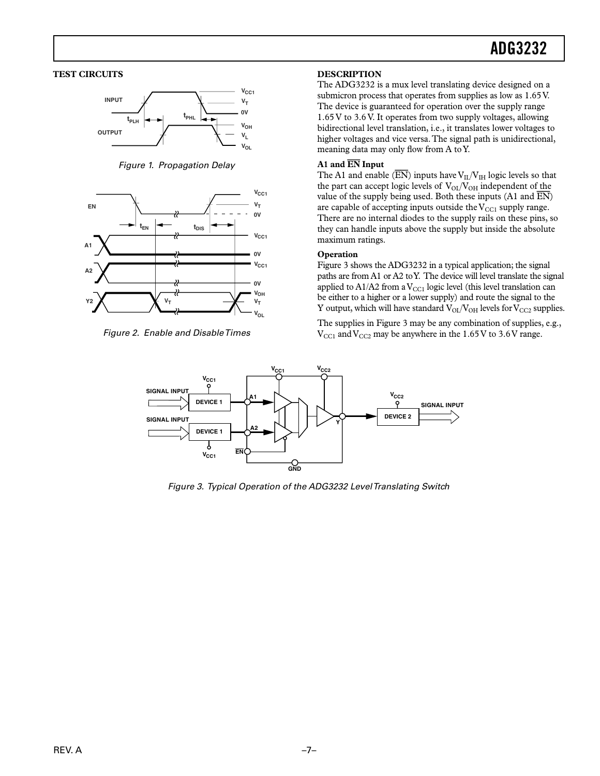#### **TEST CIRCUITS**



Figure 1. Propagation Delay



Figure 2. Enable and Disable Times

#### **DESCRIPTION**

The ADG3232 is a mux level translating device designed on a submicron process that operates from supplies as low as 1.65V. The device is guaranteed for operation over the supply range 1.65 V to 3.6 V. It operates from two supply voltages, allowing bidirectional level translation, i.e., it translates lower voltages to higher voltages and vice versa. The signal path is unidirectional, meaning data may only flow from A to Y.

#### A1 and EN Input

The A1 and enable ( $\overline{EN}$ ) inputs have  $V_{II}/V_{IH}$  logic levels so that the part can accept logic levels of  $V_{OL}/V_{OH}$  independent of the value of the supply being used. Both these inputs (A1 and  $\overline{EN}$ ) are capable of accepting inputs outside the  $V_{\rm CCl}$  supply range. There are no internal diodes to the supply rails on these pins, so they can handle inputs above the supply but inside the absolute maximum ratings.

#### Operation

Figure 3 shows the ADG3232 in a typical application; the signal paths are from A1 or A2 to Y. The device will level translate the signal applied to  $A1/A2$  from a  $V_{\rm CCl}$  logic level (this level translation can be either to a higher or a lower supply) and route the signal to the Y output, which will have standard  $V_{OL}/V_{OH}$  levels for  $V_{CC2}$  supplies.

The supplies in Figure 3 may be any combination of supplies, e.g.,  $V_{\text{CC1}}$  and  $V_{\text{CC2}}$  may be anywhere in the 1.65 V to 3.6 V range.



Figure 3. Typical Operation of the ADG3232 Level Translating Switch